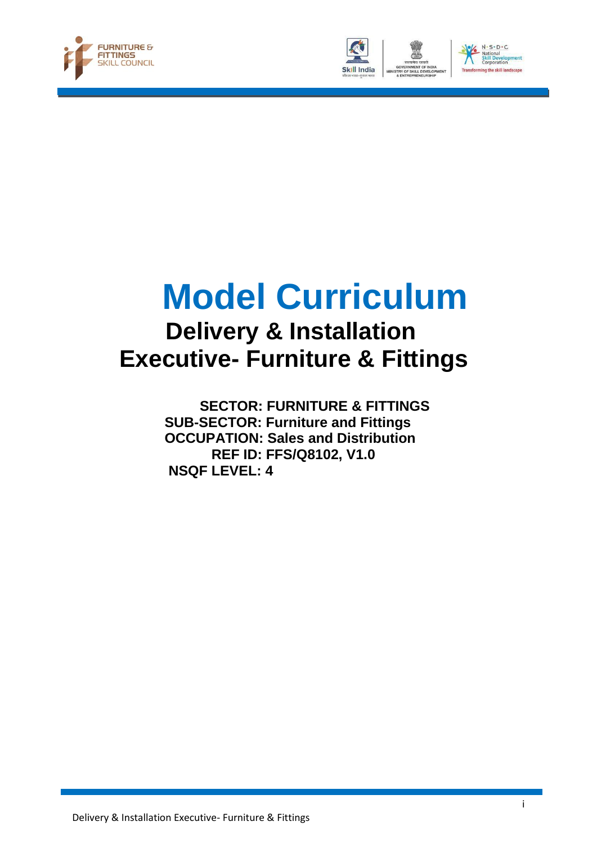





# **Model Curriculum**

## **Delivery & Installation Executive- Furniture & Fittings**

 **SECTOR: FURNITURE & FITTINGS SUB-SECTOR: Furniture and Fittings OCCUPATION: Sales and Distribution REF ID: FFS/Q8102, V1.0 NSQF LEVEL: 4**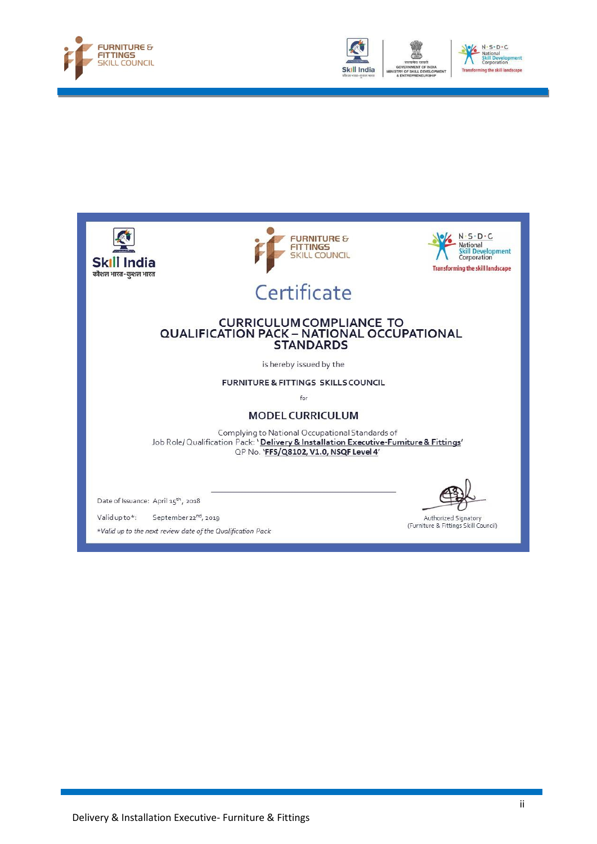







\*Valid up to the next review date of the Qualification Pack

(Furniture & Fittings Skill Council)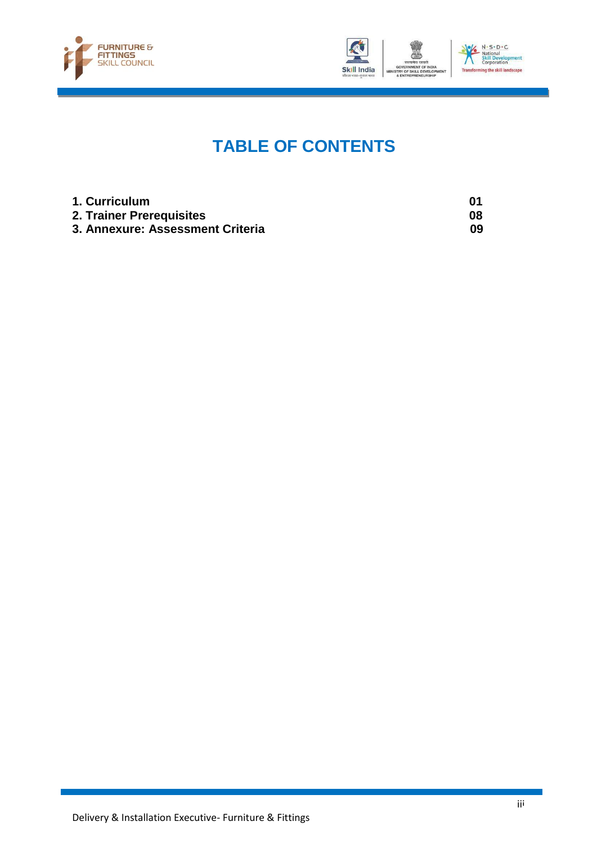



### **TABLE OF CONTENTS**

| 1. Curriculum                    |    |
|----------------------------------|----|
| 2. Trainer Prerequisites         | 08 |
| 3. Annexure: Assessment Criteria | 09 |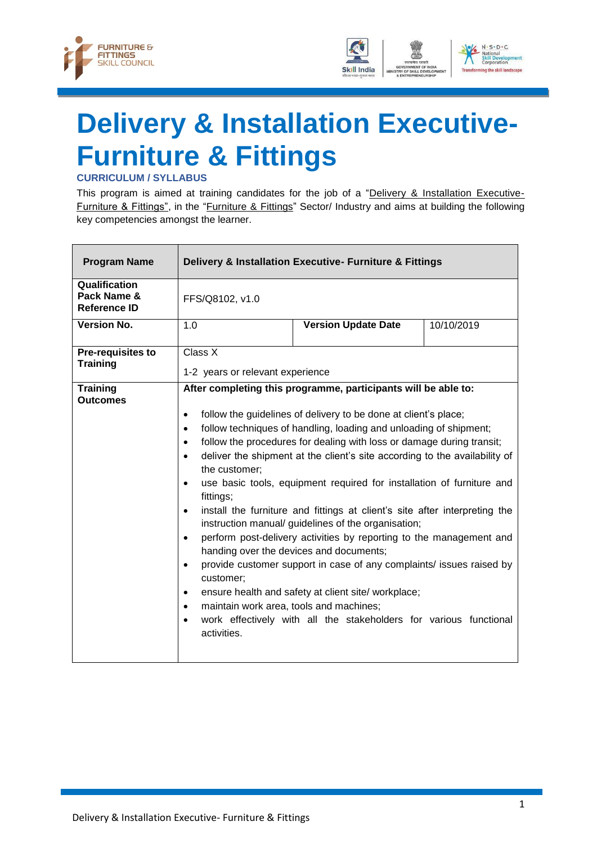



# <span id="page-3-0"></span>**Delivery & Installation Executive-Furniture & Fittings**

**CURRICULUM / SYLLABUS**

This program is aimed at training candidates for the job of a "Delivery & Installation Executive-Furniture & Fittings", in the "Furniture & Fittings" Sector/ Industry and aims at building the following key competencies amongst the learner.

| <b>Program Name</b>                                 |                                                                                                                                                                                                                                                                                                                                                                                                                                                                                                                                                                                                                                                                                                                                                                                                                                                                                                                                                                                                                                                                                                                                                                                   | Delivery & Installation Executive- Furniture & Fittings |            |
|-----------------------------------------------------|-----------------------------------------------------------------------------------------------------------------------------------------------------------------------------------------------------------------------------------------------------------------------------------------------------------------------------------------------------------------------------------------------------------------------------------------------------------------------------------------------------------------------------------------------------------------------------------------------------------------------------------------------------------------------------------------------------------------------------------------------------------------------------------------------------------------------------------------------------------------------------------------------------------------------------------------------------------------------------------------------------------------------------------------------------------------------------------------------------------------------------------------------------------------------------------|---------------------------------------------------------|------------|
| Qualification<br>Pack Name &<br><b>Reference ID</b> | FFS/Q8102, v1.0                                                                                                                                                                                                                                                                                                                                                                                                                                                                                                                                                                                                                                                                                                                                                                                                                                                                                                                                                                                                                                                                                                                                                                   |                                                         |            |
| <b>Version No.</b>                                  | 1.0                                                                                                                                                                                                                                                                                                                                                                                                                                                                                                                                                                                                                                                                                                                                                                                                                                                                                                                                                                                                                                                                                                                                                                               | <b>Version Update Date</b>                              | 10/10/2019 |
| Pre-requisites to<br><b>Training</b>                | Class X                                                                                                                                                                                                                                                                                                                                                                                                                                                                                                                                                                                                                                                                                                                                                                                                                                                                                                                                                                                                                                                                                                                                                                           |                                                         |            |
| <b>Training</b><br><b>Outcomes</b>                  | 1-2 years or relevant experience<br>After completing this programme, participants will be able to:<br>follow the guidelines of delivery to be done at client's place;<br>$\bullet$<br>follow techniques of handling, loading and unloading of shipment;<br>٠<br>follow the procedures for dealing with loss or damage during transit;<br>$\bullet$<br>deliver the shipment at the client's site according to the availability of<br>$\bullet$<br>the customer:<br>use basic tools, equipment required for installation of furniture and<br>$\bullet$<br>fittings;<br>install the furniture and fittings at client's site after interpreting the<br>$\bullet$<br>instruction manual/ guidelines of the organisation;<br>perform post-delivery activities by reporting to the management and<br>$\bullet$<br>handing over the devices and documents;<br>provide customer support in case of any complaints/ issues raised by<br>$\bullet$<br>customer;<br>ensure health and safety at client site/ workplace;<br>$\bullet$<br>maintain work area, tools and machines;<br>$\bullet$<br>work effectively with all the stakeholders for various functional<br>$\bullet$<br>activities. |                                                         |            |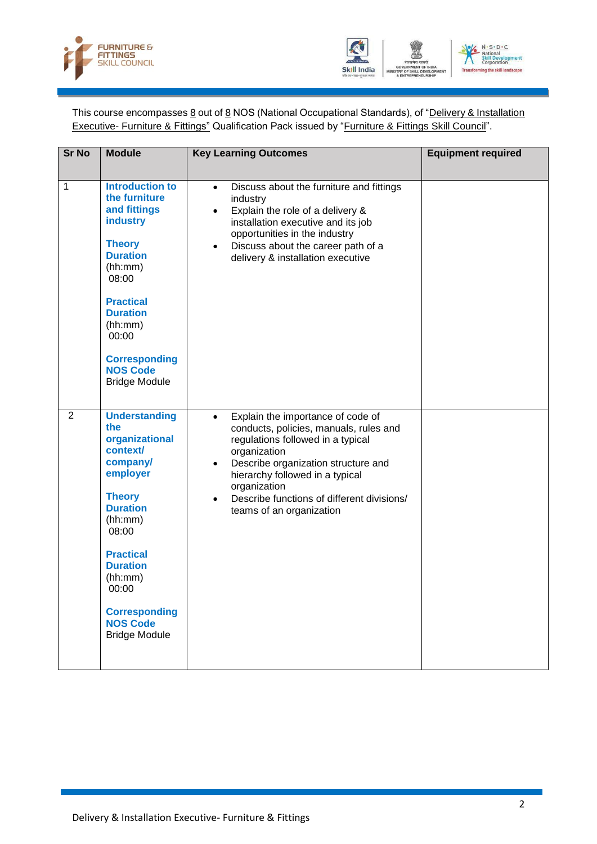



This course encompasses 8 out of 8 NOS (National Occupational Standards), of "Delivery & Installation Executive- Furniture & Fittings" Qualification Pack issued by "Furniture & Fittings Skill Council".

| <b>Sr No</b>   | <b>Module</b>                                                                                                                                                                                                                                                                  | <b>Key Learning Outcomes</b>                                                                                                                                                                                                                                                                                                                | <b>Equipment required</b> |
|----------------|--------------------------------------------------------------------------------------------------------------------------------------------------------------------------------------------------------------------------------------------------------------------------------|---------------------------------------------------------------------------------------------------------------------------------------------------------------------------------------------------------------------------------------------------------------------------------------------------------------------------------------------|---------------------------|
|                |                                                                                                                                                                                                                                                                                |                                                                                                                                                                                                                                                                                                                                             |                           |
| 1              | <b>Introduction to</b><br>the furniture<br>and fittings<br><b>industry</b><br><b>Theory</b><br><b>Duration</b><br>(hh:mm)<br>08:00<br><b>Practical</b><br><b>Duration</b><br>(hh:mm)<br>00:00<br><b>Corresponding</b><br><b>NOS Code</b><br><b>Bridge Module</b>               | Discuss about the furniture and fittings<br>$\bullet$<br>industry<br>Explain the role of a delivery &<br>$\bullet$<br>installation executive and its job<br>opportunities in the industry<br>Discuss about the career path of a<br>delivery & installation executive                                                                        |                           |
| $\overline{2}$ | <b>Understanding</b><br>the<br>organizational<br><b>context/</b><br>company/<br>employer<br><b>Theory</b><br><b>Duration</b><br>(hh:mm)<br>08:00<br><b>Practical</b><br><b>Duration</b><br>(hh:mm)<br>00:00<br><b>Corresponding</b><br><b>NOS Code</b><br><b>Bridge Module</b> | Explain the importance of code of<br>$\bullet$<br>conducts, policies, manuals, rules and<br>regulations followed in a typical<br>organization<br>Describe organization structure and<br>$\bullet$<br>hierarchy followed in a typical<br>organization<br>Describe functions of different divisions/<br>$\bullet$<br>teams of an organization |                           |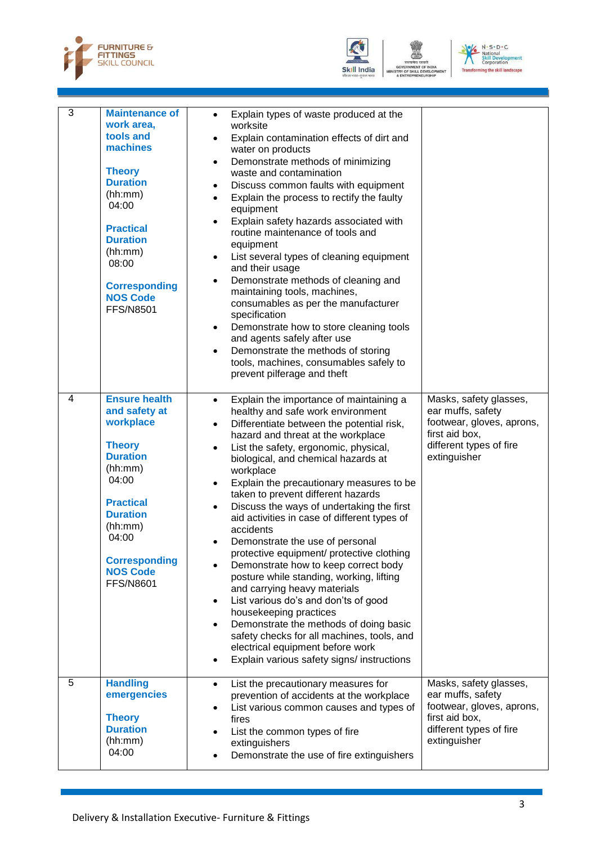





| 3 | <b>Maintenance of</b><br>work area,<br>tools and<br>machines<br><b>Theory</b><br><b>Duration</b><br>(hh:mm)<br>04:00<br><b>Practical</b><br><b>Duration</b><br>(hh:mm)<br>08:00<br><b>Corresponding</b><br><b>NOS Code</b><br><b>FFS/N8501</b> | Explain types of waste produced at the<br>$\bullet$<br>worksite<br>Explain contamination effects of dirt and<br>water on products<br>Demonstrate methods of minimizing<br>$\bullet$<br>waste and contamination<br>Discuss common faults with equipment<br>Explain the process to rectify the faulty<br>$\bullet$<br>equipment<br>Explain safety hazards associated with<br>routine maintenance of tools and<br>equipment<br>List several types of cleaning equipment<br>$\bullet$<br>and their usage<br>Demonstrate methods of cleaning and<br>maintaining tools, machines,<br>consumables as per the manufacturer<br>specification<br>Demonstrate how to store cleaning tools<br>$\bullet$<br>and agents safely after use<br>Demonstrate the methods of storing<br>$\bullet$<br>tools, machines, consumables safely to<br>prevent pilferage and theft                                                                                                                    |                                                                                                                                       |
|---|------------------------------------------------------------------------------------------------------------------------------------------------------------------------------------------------------------------------------------------------|---------------------------------------------------------------------------------------------------------------------------------------------------------------------------------------------------------------------------------------------------------------------------------------------------------------------------------------------------------------------------------------------------------------------------------------------------------------------------------------------------------------------------------------------------------------------------------------------------------------------------------------------------------------------------------------------------------------------------------------------------------------------------------------------------------------------------------------------------------------------------------------------------------------------------------------------------------------------------|---------------------------------------------------------------------------------------------------------------------------------------|
| 4 | <b>Ensure health</b><br>and safety at<br>workplace<br><b>Theory</b><br><b>Duration</b><br>(hh:mm)<br>04:00<br><b>Practical</b><br><b>Duration</b><br>(hh:mm)<br>04:00<br><b>Corresponding</b><br><b>NOS Code</b><br><b>FFS/N8601</b>           | Explain the importance of maintaining a<br>$\bullet$<br>healthy and safe work environment<br>Differentiate between the potential risk,<br>$\bullet$<br>hazard and threat at the workplace<br>List the safety, ergonomic, physical,<br>$\bullet$<br>biological, and chemical hazards at<br>workplace<br>Explain the precautionary measures to be<br>$\bullet$<br>taken to prevent different hazards<br>Discuss the ways of undertaking the first<br>$\bullet$<br>aid activities in case of different types of<br>accidents<br>Demonstrate the use of personal<br>protective equipment/ protective clothing<br>Demonstrate how to keep correct body<br>posture while standing, working, lifting<br>and carrying heavy materials<br>List various do's and don'ts of good<br>housekeeping practices<br>Demonstrate the methods of doing basic<br>safety checks for all machines, tools, and<br>electrical equipment before work<br>Explain various safety signs/ instructions | Masks, safety glasses,<br>ear muffs, safety<br>footwear, gloves, aprons,<br>first aid box,<br>different types of fire<br>extinguisher |
| 5 | <b>Handling</b><br>emergencies<br><b>Theory</b><br><b>Duration</b><br>(hh:mm)<br>04:00                                                                                                                                                         | List the precautionary measures for<br>$\bullet$<br>prevention of accidents at the workplace<br>List various common causes and types of<br>fires<br>List the common types of fire<br>extinguishers<br>Demonstrate the use of fire extinguishers                                                                                                                                                                                                                                                                                                                                                                                                                                                                                                                                                                                                                                                                                                                           | Masks, safety glasses,<br>ear muffs, safety<br>footwear, gloves, aprons,<br>first aid box,<br>different types of fire<br>extinguisher |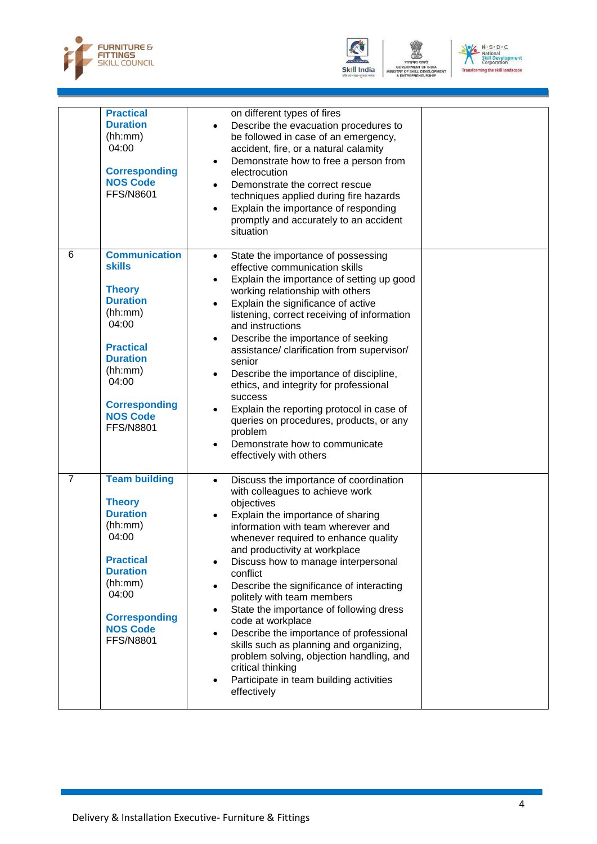





|                | <b>Practical</b><br><b>Duration</b><br>(hh:mm)<br>04:00<br><b>Corresponding</b><br><b>NOS Code</b><br><b>FFS/N8601</b>                                                                                                  | on different types of fires<br>Describe the evacuation procedures to<br>be followed in case of an emergency,<br>accident, fire, or a natural calamity<br>Demonstrate how to free a person from<br>electrocution<br>Demonstrate the correct rescue<br>techniques applied during fire hazards<br>Explain the importance of responding<br>$\bullet$<br>promptly and accurately to an accident<br>situation                                                                                                                                                                                                                                                                                      |  |
|----------------|-------------------------------------------------------------------------------------------------------------------------------------------------------------------------------------------------------------------------|----------------------------------------------------------------------------------------------------------------------------------------------------------------------------------------------------------------------------------------------------------------------------------------------------------------------------------------------------------------------------------------------------------------------------------------------------------------------------------------------------------------------------------------------------------------------------------------------------------------------------------------------------------------------------------------------|--|
| 6              | <b>Communication</b><br><b>skills</b><br><b>Theory</b><br><b>Duration</b><br>(hh:mm)<br>04:00<br><b>Practical</b><br><b>Duration</b><br>(hh:mm)<br>04:00<br><b>Corresponding</b><br><b>NOS Code</b><br><b>FFS/N8801</b> | State the importance of possessing<br>$\bullet$<br>effective communication skills<br>Explain the importance of setting up good<br>$\bullet$<br>working relationship with others<br>Explain the significance of active<br>$\bullet$<br>listening, correct receiving of information<br>and instructions<br>Describe the importance of seeking<br>$\bullet$<br>assistance/ clarification from supervisor/<br>senior<br>Describe the importance of discipline,<br>$\bullet$<br>ethics, and integrity for professional<br>success<br>Explain the reporting protocol in case of<br>queries on procedures, products, or any<br>problem<br>Demonstrate how to communicate<br>effectively with others |  |
| $\overline{7}$ | <b>Team building</b><br><b>Theory</b><br><b>Duration</b><br>(hh:mm)<br>04:00<br><b>Practical</b><br><b>Duration</b><br>(hh:mm)<br>04:00<br><b>Corresponding</b><br><b>NOS Code</b><br><b>FFS/N8801</b>                  | Discuss the importance of coordination<br>$\bullet$<br>with colleagues to achieve work<br>objectives<br>Explain the importance of sharing<br>information with team wherever and<br>whenever required to enhance quality<br>and productivity at workplace<br>Discuss how to manage interpersonal<br>conflict<br>Describe the significance of interacting<br>politely with team members<br>State the importance of following dress<br>code at workplace<br>Describe the importance of professional<br>skills such as planning and organizing,<br>problem solving, objection handling, and<br>critical thinking<br>Participate in team building activities<br>effectively                       |  |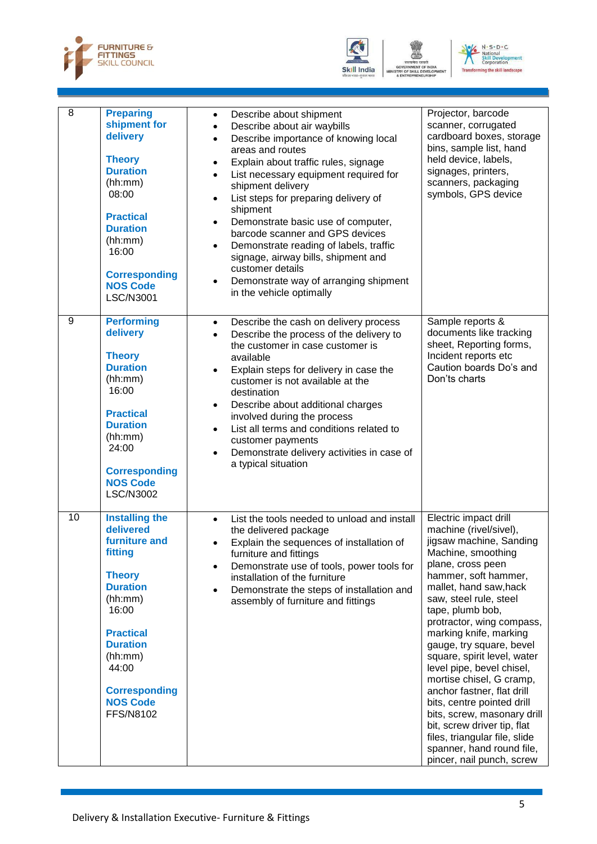





| $\overline{8}$ | <b>Preparing</b><br>shipment for<br>delivery<br><b>Theory</b><br><b>Duration</b><br>(hh:mm)<br>08:00<br><b>Practical</b><br><b>Duration</b><br>(hh:mm)<br>16:00<br><b>Corresponding</b><br><b>NOS Code</b><br><b>LSC/N3001</b>            | $\bullet$<br>$\bullet$<br>$\bullet$<br>٠<br>$\bullet$<br>$\bullet$<br>٠ | Describe about shipment<br>Describe about air waybills<br>Describe importance of knowing local<br>areas and routes<br>Explain about traffic rules, signage<br>List necessary equipment required for<br>shipment delivery<br>List steps for preparing delivery of<br>shipment<br>Demonstrate basic use of computer,<br>barcode scanner and GPS devices<br>Demonstrate reading of labels, traffic<br>signage, airway bills, shipment and<br>customer details<br>Demonstrate way of arranging shipment<br>in the vehicle optimally | Projector, barcode<br>scanner, corrugated<br>cardboard boxes, storage<br>bins, sample list, hand<br>held device, labels,<br>signages, printers,<br>scanners, packaging<br>symbols, GPS device                                                                                                                                                                                                                                                                                                                                                                                                                         |
|----------------|-------------------------------------------------------------------------------------------------------------------------------------------------------------------------------------------------------------------------------------------|-------------------------------------------------------------------------|---------------------------------------------------------------------------------------------------------------------------------------------------------------------------------------------------------------------------------------------------------------------------------------------------------------------------------------------------------------------------------------------------------------------------------------------------------------------------------------------------------------------------------|-----------------------------------------------------------------------------------------------------------------------------------------------------------------------------------------------------------------------------------------------------------------------------------------------------------------------------------------------------------------------------------------------------------------------------------------------------------------------------------------------------------------------------------------------------------------------------------------------------------------------|
| 9              | <b>Performing</b><br>delivery<br><b>Theory</b><br><b>Duration</b><br>(hh:mm)<br>16:00<br><b>Practical</b><br><b>Duration</b><br>(hh:mm)<br>24:00<br><b>Corresponding</b><br><b>NOS Code</b><br><b>LSC/N3002</b>                           | $\bullet$<br>$\bullet$<br>$\bullet$<br>$\bullet$<br>$\bullet$           | Describe the cash on delivery process<br>Describe the process of the delivery to<br>the customer in case customer is<br>available<br>Explain steps for delivery in case the<br>customer is not available at the<br>destination<br>Describe about additional charges<br>involved during the process<br>List all terms and conditions related to<br>customer payments<br>Demonstrate delivery activities in case of<br>a typical situation                                                                                        | Sample reports &<br>documents like tracking<br>sheet, Reporting forms,<br>Incident reports etc<br>Caution boards Do's and<br>Don'ts charts                                                                                                                                                                                                                                                                                                                                                                                                                                                                            |
| 10             | <b>Installing the</b><br>delivered<br>furniture and<br>fitting<br><b>Theory</b><br><b>Duration</b><br>(hh:mm)<br>16:00<br><b>Practical</b><br><b>Duration</b><br>(hh:mm)<br>44:00<br><b>Corresponding</b><br><b>NOS Code</b><br>FFS/N8102 | $\bullet$<br>$\bullet$                                                  | List the tools needed to unload and install<br>the delivered package<br>Explain the sequences of installation of<br>furniture and fittings<br>Demonstrate use of tools, power tools for<br>installation of the furniture<br>Demonstrate the steps of installation and<br>assembly of furniture and fittings                                                                                                                                                                                                                     | Electric impact drill<br>machine (rivel/sivel),<br>jigsaw machine, Sanding<br>Machine, smoothing<br>plane, cross peen<br>hammer, soft hammer,<br>mallet, hand saw, hack<br>saw, steel rule, steel<br>tape, plumb bob,<br>protractor, wing compass,<br>marking knife, marking<br>gauge, try square, bevel<br>square, spirit level, water<br>level pipe, bevel chisel,<br>mortise chisel, G cramp,<br>anchor fastner, flat drill<br>bits, centre pointed drill<br>bits, screw, masonary drill<br>bit, screw driver tip, flat<br>files, triangular file, slide<br>spanner, hand round file,<br>pincer, nail punch, screw |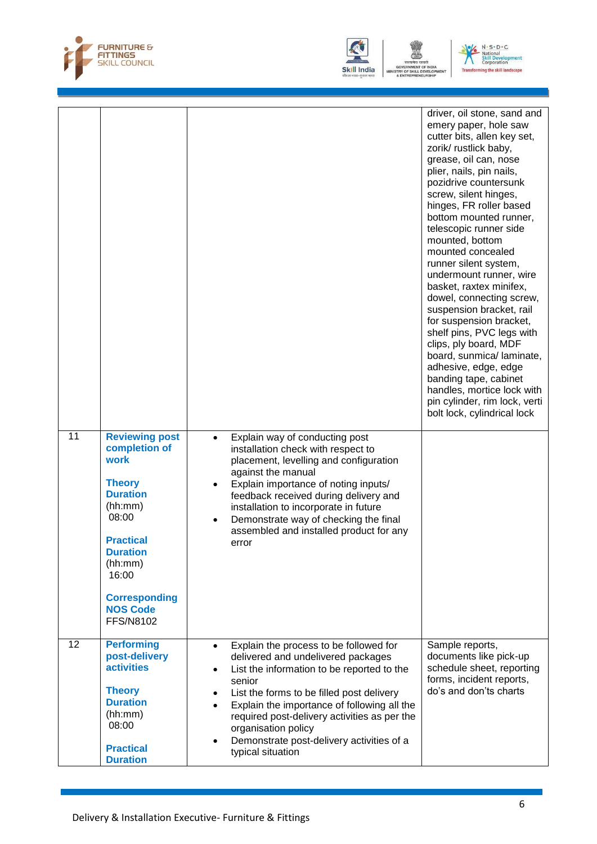





|    |                                                                                                                                                                                                                           |                                                                                                                                                                                                                                                                                                                                                                                                     | driver, oil stone, sand and<br>emery paper, hole saw<br>cutter bits, allen key set,<br>zorik/ rustlick baby,<br>grease, oil can, nose<br>plier, nails, pin nails,<br>pozidrive countersunk<br>screw, silent hinges,<br>hinges, FR roller based<br>bottom mounted runner,<br>telescopic runner side<br>mounted, bottom<br>mounted concealed<br>runner silent system,<br>undermount runner, wire<br>basket, raxtex minifex,<br>dowel, connecting screw,<br>suspension bracket, rail<br>for suspension bracket,<br>shelf pins, PVC legs with<br>clips, ply board, MDF<br>board, sunmica/ laminate,<br>adhesive, edge, edge<br>banding tape, cabinet<br>handles, mortice lock with<br>pin cylinder, rim lock, verti<br>bolt lock, cylindrical lock |
|----|---------------------------------------------------------------------------------------------------------------------------------------------------------------------------------------------------------------------------|-----------------------------------------------------------------------------------------------------------------------------------------------------------------------------------------------------------------------------------------------------------------------------------------------------------------------------------------------------------------------------------------------------|------------------------------------------------------------------------------------------------------------------------------------------------------------------------------------------------------------------------------------------------------------------------------------------------------------------------------------------------------------------------------------------------------------------------------------------------------------------------------------------------------------------------------------------------------------------------------------------------------------------------------------------------------------------------------------------------------------------------------------------------|
| 11 | <b>Reviewing post</b><br>completion of<br>work<br><b>Theory</b><br><b>Duration</b><br>(hh:mm)<br>08:00<br><b>Practical</b><br><b>Duration</b><br>(hh:mm)<br>16:00<br><b>Corresponding</b><br><b>NOS Code</b><br>FFS/N8102 | Explain way of conducting post<br>installation check with respect to<br>placement, levelling and configuration<br>against the manual<br>Explain importance of noting inputs/<br>feedback received during delivery and<br>installation to incorporate in future<br>Demonstrate way of checking the final<br>assembled and installed product for any<br>error                                         |                                                                                                                                                                                                                                                                                                                                                                                                                                                                                                                                                                                                                                                                                                                                                |
| 12 | <b>Performing</b><br>post-delivery<br><b>activities</b><br><b>Theory</b><br><b>Duration</b><br>(hh:mm)<br>08:00<br><b>Practical</b><br><b>Duration</b>                                                                    | Explain the process to be followed for<br>$\bullet$<br>delivered and undelivered packages<br>List the information to be reported to the<br>$\bullet$<br>senior<br>List the forms to be filled post delivery<br>Explain the importance of following all the<br>required post-delivery activities as per the<br>organisation policy<br>Demonstrate post-delivery activities of a<br>typical situation | Sample reports,<br>documents like pick-up<br>schedule sheet, reporting<br>forms, incident reports,<br>do's and don'ts charts                                                                                                                                                                                                                                                                                                                                                                                                                                                                                                                                                                                                                   |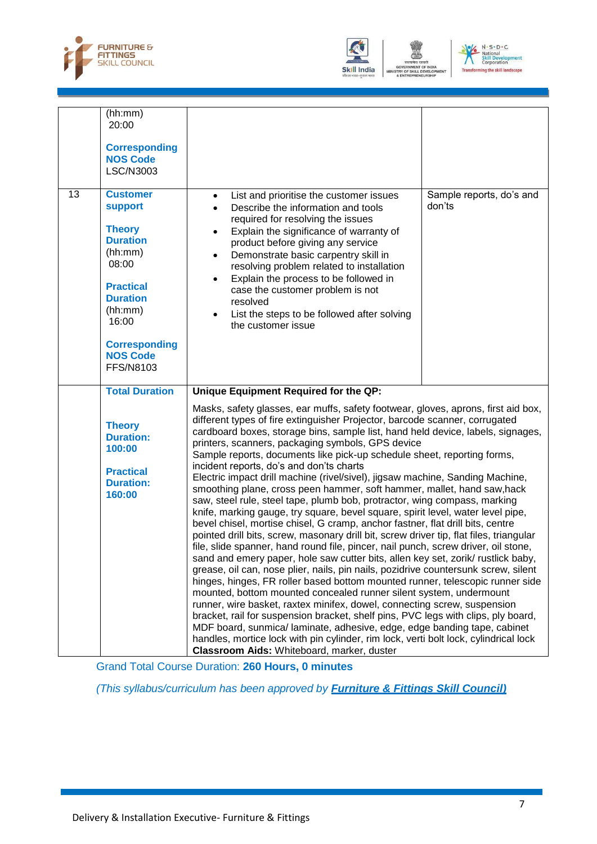





|    | (hh:mm)<br>20:00<br><b>Corresponding</b><br><b>NOS Code</b><br>LSC/N3003                                                                                                                              |                                                                                                                                                                                                                                                                                                                                                                                                                                                                                                                                                                                                                                                                                                                                                                                                                                                                                                                                                                                                                                                                                                                                                                                                                                                                                                                                                                                                                                                                                                                                                                                                                                                                                                                                                    |                                    |
|----|-------------------------------------------------------------------------------------------------------------------------------------------------------------------------------------------------------|----------------------------------------------------------------------------------------------------------------------------------------------------------------------------------------------------------------------------------------------------------------------------------------------------------------------------------------------------------------------------------------------------------------------------------------------------------------------------------------------------------------------------------------------------------------------------------------------------------------------------------------------------------------------------------------------------------------------------------------------------------------------------------------------------------------------------------------------------------------------------------------------------------------------------------------------------------------------------------------------------------------------------------------------------------------------------------------------------------------------------------------------------------------------------------------------------------------------------------------------------------------------------------------------------------------------------------------------------------------------------------------------------------------------------------------------------------------------------------------------------------------------------------------------------------------------------------------------------------------------------------------------------------------------------------------------------------------------------------------------------|------------------------------------|
| 13 | <b>Customer</b><br>support<br><b>Theory</b><br><b>Duration</b><br>(hh:mm)<br>08:00<br><b>Practical</b><br><b>Duration</b><br>(hh:mm)<br>16:00<br><b>Corresponding</b><br><b>NOS Code</b><br>FFS/N8103 | List and prioritise the customer issues<br>$\bullet$<br>Describe the information and tools<br>$\bullet$<br>required for resolving the issues<br>Explain the significance of warranty of<br>$\bullet$<br>product before giving any service<br>Demonstrate basic carpentry skill in<br>$\bullet$<br>resolving problem related to installation<br>Explain the process to be followed in<br>$\bullet$<br>case the customer problem is not<br>resolved<br>List the steps to be followed after solving<br>$\bullet$<br>the customer issue                                                                                                                                                                                                                                                                                                                                                                                                                                                                                                                                                                                                                                                                                                                                                                                                                                                                                                                                                                                                                                                                                                                                                                                                                | Sample reports, do's and<br>don'ts |
|    | <b>Total Duration</b>                                                                                                                                                                                 | Unique Equipment Required for the QP:                                                                                                                                                                                                                                                                                                                                                                                                                                                                                                                                                                                                                                                                                                                                                                                                                                                                                                                                                                                                                                                                                                                                                                                                                                                                                                                                                                                                                                                                                                                                                                                                                                                                                                              |                                    |
|    | <b>Theory</b><br><b>Duration:</b><br>100:00<br><b>Practical</b><br><b>Duration:</b><br>160:00                                                                                                         | Masks, safety glasses, ear muffs, safety footwear, gloves, aprons, first aid box,<br>different types of fire extinguisher Projector, barcode scanner, corrugated<br>cardboard boxes, storage bins, sample list, hand held device, labels, signages,<br>printers, scanners, packaging symbols, GPS device<br>Sample reports, documents like pick-up schedule sheet, reporting forms,<br>incident reports, do's and don'ts charts<br>Electric impact drill machine (rivel/sivel), jigsaw machine, Sanding Machine,<br>smoothing plane, cross peen hammer, soft hammer, mallet, hand saw, hack<br>saw, steel rule, steel tape, plumb bob, protractor, wing compass, marking<br>knife, marking gauge, try square, bevel square, spirit level, water level pipe,<br>bevel chisel, mortise chisel, G cramp, anchor fastner, flat drill bits, centre<br>pointed drill bits, screw, masonary drill bit, screw driver tip, flat files, triangular<br>file, slide spanner, hand round file, pincer, nail punch, screw driver, oil stone,<br>sand and emery paper, hole saw cutter bits, allen key set, zorik/ rustlick baby,<br>grease, oil can, nose plier, nails, pin nails, pozidrive countersunk screw, silent<br>hinges, hinges, FR roller based bottom mounted runner, telescopic runner side<br>mounted, bottom mounted concealed runner silent system, undermount<br>runner, wire basket, raxtex minifex, dowel, connecting screw, suspension<br>bracket, rail for suspension bracket, shelf pins, PVC legs with clips, ply board,<br>MDF board, sunmica/ laminate, adhesive, edge, edge banding tape, cabinet<br>handles, mortice lock with pin cylinder, rim lock, verti bolt lock, cylindrical lock<br>Classroom Aids: Whiteboard, marker, duster |                                    |

Grand Total Course Duration: **260 Hours, 0 minutes**

*(This syllabus/curriculum has been approved by Furniture & Fittings Skill Council)*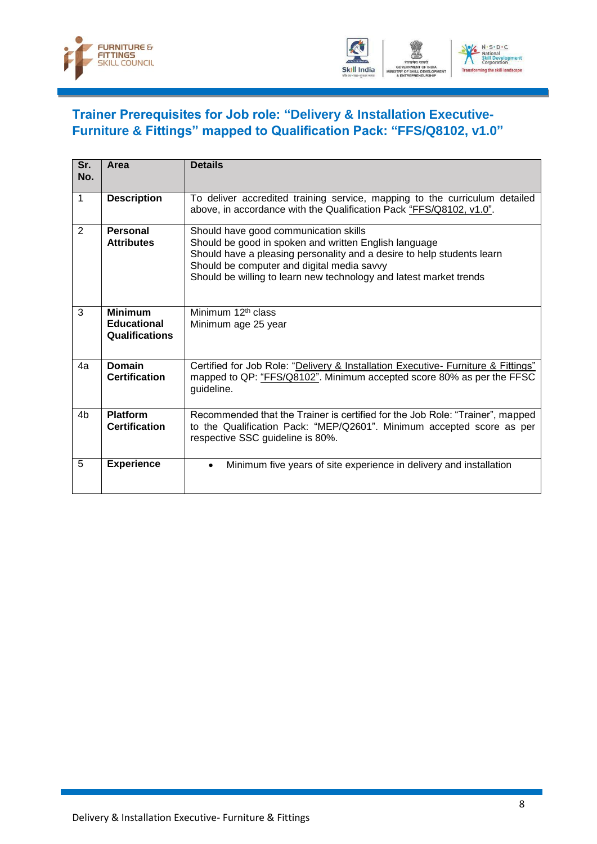



### <span id="page-10-0"></span>**Trainer Prerequisites for Job role: "Delivery & Installation Executive-Furniture & Fittings" mapped to Qualification Pack: "FFS/Q8102, v1.0"**

| Sr.<br>No.     | Area                                                   | <b>Details</b>                                                                                                                                                                                                                                                                               |
|----------------|--------------------------------------------------------|----------------------------------------------------------------------------------------------------------------------------------------------------------------------------------------------------------------------------------------------------------------------------------------------|
| $\mathbf{1}$   | <b>Description</b>                                     | To deliver accredited training service, mapping to the curriculum detailed<br>above, in accordance with the Qualification Pack "FFS/Q8102, v1.0".                                                                                                                                            |
| 2              | Personal<br><b>Attributes</b>                          | Should have good communication skills<br>Should be good in spoken and written English language<br>Should have a pleasing personality and a desire to help students learn<br>Should be computer and digital media savvy<br>Should be willing to learn new technology and latest market trends |
| 3              | <b>Minimum</b><br><b>Educational</b><br>Qualifications | Minimum $12th$ class<br>Minimum age 25 year                                                                                                                                                                                                                                                  |
| 4a             | Domain<br><b>Certification</b>                         | Certified for Job Role: "Delivery & Installation Executive- Furniture & Fittings"<br>mapped to QP: "FFS/Q8102". Minimum accepted score 80% as per the FFSC<br>guideline.                                                                                                                     |
| 4 <sub>b</sub> | <b>Platform</b><br><b>Certification</b>                | Recommended that the Trainer is certified for the Job Role: "Trainer", mapped<br>to the Qualification Pack: "MEP/Q2601". Minimum accepted score as per<br>respective SSC guideline is 80%.                                                                                                   |
| 5              | <b>Experience</b>                                      | Minimum five years of site experience in delivery and installation<br>$\bullet$                                                                                                                                                                                                              |